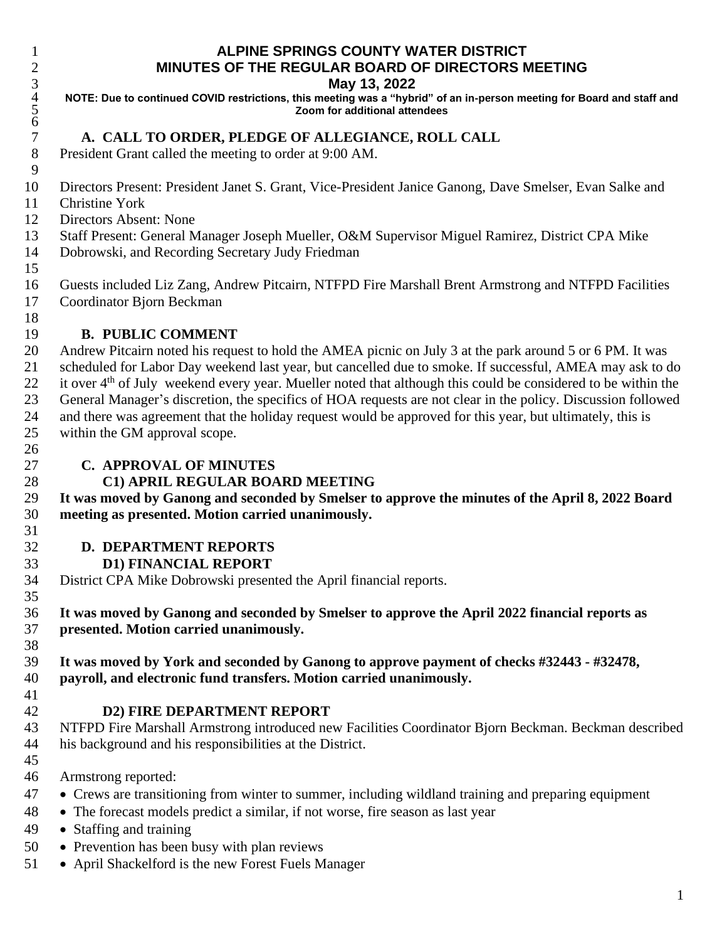### **ALPINE SPRINGS COUNTY WATER DISTRICT MINUTES OF THE REGULAR BOARD OF DIRECTORS MEETING**

#### **May 13, 2022**

 **NOTE: Due to continued COVID restrictions, this meeting was a "hybrid" of an in-person meeting for Board and staff and Zoom for additional attendees**

### **A. CALL TO ORDER, PLEDGE OF ALLEGIANCE, ROLL CALL**

President Grant called the meeting to order at 9:00 AM.

- Directors Present: President Janet S. Grant, Vice-President Janice Ganong, Dave Smelser, Evan Salke and
- Christine York

- Directors Absent: None
- Staff Present: General Manager Joseph Mueller, O&M Supervisor Miguel Ramirez, District CPA Mike
- Dobrowski, and Recording Secretary Judy Friedman

 Guests included Liz Zang*,* Andrew Pitcairn, NTFPD Fire Marshall Brent Armstrong and NTFPD Facilities Coordinator Bjorn Beckman

#### **B. PUBLIC COMMENT**

 Andrew Pitcairn noted his request to hold the AMEA picnic on July 3 at the park around 5 or 6 PM. It was scheduled for Labor Day weekend last year, but cancelled due to smoke. If successful, AMEA may ask to do 22 it over 4<sup>th</sup> of July weekend every year. Mueller noted that although this could be considered to be within the General Manager's discretion, the specifics of HOA requests are not clear in the policy. Discussion followed and there was agreement that the holiday request would be approved for this year, but ultimately, this is within the GM approval scope.

### **C. APPROVAL OF MINUTES**

### **C1) APRIL REGULAR BOARD MEETING**

29 It was moved by Ganong and seconded by Smelser to approve the minutes of the April 8, 2022 Board **meeting as presented. Motion carried unanimously.**

### **D. DEPARTMENT REPORTS**

### **D1) FINANCIAL REPORT**

District CPA Mike Dobrowski presented the April financial reports.

 **It was moved by Ganong and seconded by Smelser to approve the April 2022 financial reports as presented. Motion carried unanimously.**

 **It was moved by York and seconded by Ganong to approve payment of checks #32443 - #32478, payroll, and electronic fund transfers. Motion carried unanimously.**

### **D2) FIRE DEPARTMENT REPORT**

 NTFPD Fire Marshall Armstrong introduced new Facilities Coordinator Bjorn Beckman. Beckman described his background and his responsibilities at the District.

Armstrong reported:

- Crews are transitioning from winter to summer, including wildland training and preparing equipment
- The forecast models predict a similar, if not worse, fire season as last year
- Staffing and training
- Prevention has been busy with plan reviews
- April Shackelford is the new Forest Fuels Manager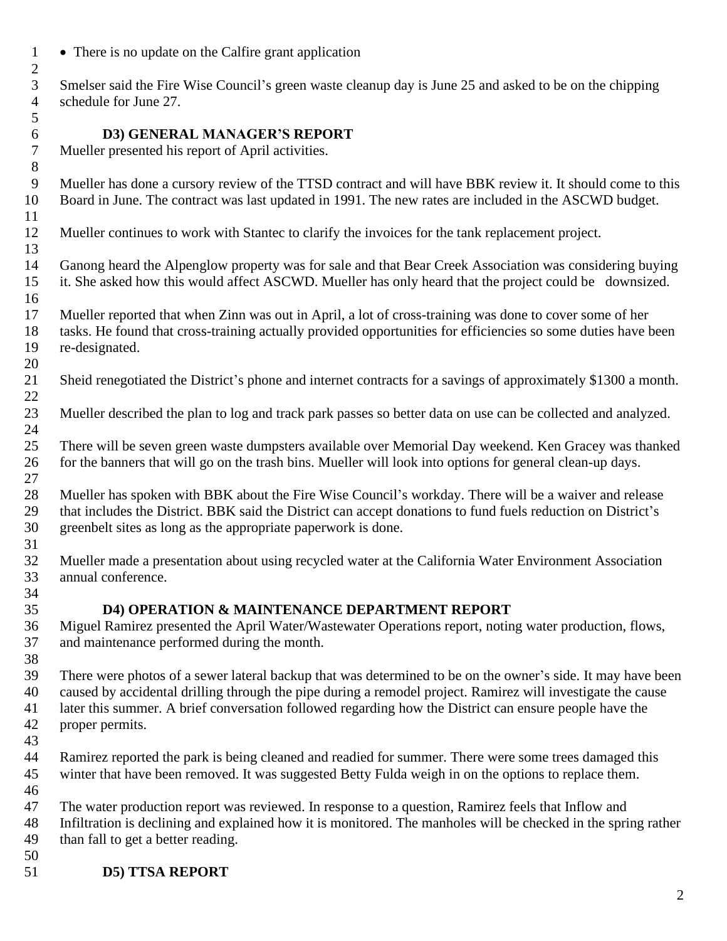• There is no update on the Calfire grant application

 Smelser said the Fire Wise Council's green waste cleanup day is June 25 and asked to be on the chipping schedule for June 27. 

**D3) GENERAL MANAGER'S REPORT**

Mueller presented his report of April activities.

 Mueller has done a cursory review of the TTSD contract and will have BBK review it. It should come to this Board in June. The contract was last updated in 1991. The new rates are included in the ASCWD budget. 

Mueller continues to work with Stantec to clarify the invoices for the tank replacement project.

 Ganong heard the Alpenglow property was for sale and that Bear Creek Association was considering buying it. She asked how this would affect ASCWD. Mueller has only heard that the project could be downsized.

 Mueller reported that when Zinn was out in April, a lot of cross-training was done to cover some of her tasks. He found that cross-training actually provided opportunities for efficiencies so some duties have been re-designated.

Sheid renegotiated the District's phone and internet contracts for a savings of approximately \$1300 a month.

 Mueller described the plan to log and track park passes so better data on use can be collected and analyzed. 

 There will be seven green waste dumpsters available over Memorial Day weekend. Ken Gracey was thanked for the banners that will go on the trash bins. Mueller will look into options for general clean-up days. 

 Mueller has spoken with BBK about the Fire Wise Council's workday. There will be a waiver and release that includes the District. BBK said the District can accept donations to fund fuels reduction on District's greenbelt sites as long as the appropriate paperwork is done. 

 Mueller made a presentation about using recycled water at the California Water Environment Association annual conference.

### **D4) OPERATION & MAINTENANCE DEPARTMENT REPORT**

 Miguel Ramirez presented the April Water/Wastewater Operations report, noting water production, flows, and maintenance performed during the month.

 There were photos of a sewer lateral backup that was determined to be on the owner's side. It may have been caused by accidental drilling through the pipe during a remodel project. Ramirez will investigate the cause later this summer. A brief conversation followed regarding how the District can ensure people have the proper permits.

- Ramirez reported the park is being cleaned and readied for summer. There were some trees damaged this winter that have been removed. It was suggested Betty Fulda weigh in on the options to replace them.
- The water production report was reviewed. In response to a question, Ramirez feels that Inflow and Infiltration is declining and explained how it is monitored. The manholes will be checked in the spring rather than fall to get a better reading.
- 

**D5) TTSA REPORT**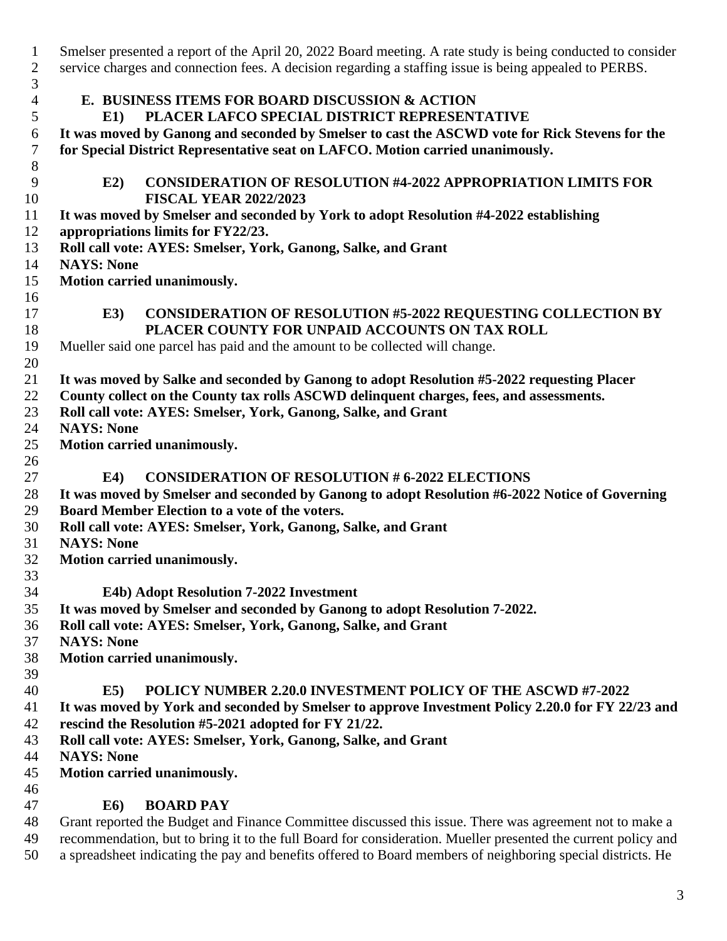| $\mathbf{1}$        | Smelser presented a report of the April 20, 2022 Board meeting. A rate study is being conducted to consider |
|---------------------|-------------------------------------------------------------------------------------------------------------|
| $\overline{2}$      | service charges and connection fees. A decision regarding a staffing issue is being appealed to PERBS.      |
| 3<br>$\overline{4}$ | E. BUSINESS ITEMS FOR BOARD DISCUSSION & ACTION                                                             |
| 5                   | PLACER LAFCO SPECIAL DISTRICT REPRESENTATIVE<br>E1                                                          |
| 6                   | It was moved by Ganong and seconded by Smelser to cast the ASCWD vote for Rick Stevens for the              |
| 7                   | for Special District Representative seat on LAFCO. Motion carried unanimously.                              |
| $8\,$               |                                                                                                             |
| $\overline{9}$      | <b>CONSIDERATION OF RESOLUTION #4-2022 APPROPRIATION LIMITS FOR</b><br>E2)                                  |
| 10                  | <b>FISCAL YEAR 2022/2023</b>                                                                                |
| 11                  | It was moved by Smelser and seconded by York to adopt Resolution #4-2022 establishing                       |
| 12                  | appropriations limits for FY22/23.                                                                          |
| 13                  | Roll call vote: AYES: Smelser, York, Ganong, Salke, and Grant                                               |
| 14                  | <b>NAYS: None</b>                                                                                           |
| 15                  | Motion carried unanimously.                                                                                 |
| 16                  |                                                                                                             |
| 17                  | <b>CONSIDERATION OF RESOLUTION #5-2022 REQUESTING COLLECTION BY</b><br>E3)                                  |
| 18                  | PLACER COUNTY FOR UNPAID ACCOUNTS ON TAX ROLL                                                               |
| 19                  | Mueller said one parcel has paid and the amount to be collected will change.                                |
| 20                  |                                                                                                             |
| 21                  | It was moved by Salke and seconded by Ganong to adopt Resolution #5-2022 requesting Placer                  |
| 22                  | County collect on the County tax rolls ASCWD delinquent charges, fees, and assessments.                     |
| 23                  | Roll call vote: AYES: Smelser, York, Ganong, Salke, and Grant                                               |
| 24                  | <b>NAYS: None</b>                                                                                           |
| 25                  | Motion carried unanimously.                                                                                 |
| 26                  |                                                                                                             |
| 27                  | <b>CONSIDERATION OF RESOLUTION # 6-2022 ELECTIONS</b><br><b>E4</b> )                                        |
| 28                  | It was moved by Smelser and seconded by Ganong to adopt Resolution #6-2022 Notice of Governing              |
| 29                  | Board Member Election to a vote of the voters.                                                              |
| 30                  | Roll call vote: AYES: Smelser, York, Ganong, Salke, and Grant                                               |
| 31                  | <b>NAYS: None</b>                                                                                           |
| 32                  | Motion carried unanimously.                                                                                 |
| 33                  |                                                                                                             |
| 34                  | E4b) Adopt Resolution 7-2022 Investment                                                                     |
| 35                  | It was moved by Smelser and seconded by Ganong to adopt Resolution 7-2022.                                  |
| 36                  | Roll call vote: AYES: Smelser, York, Ganong, Salke, and Grant                                               |
| 37                  | <b>NAYS: None</b>                                                                                           |
| 38                  | Motion carried unanimously.                                                                                 |
| 39                  |                                                                                                             |
| 40                  | <b>POLICY NUMBER 2.20.0 INVESTMENT POLICY OF THE ASCWD #7-2022</b><br>E5                                    |
| 41                  | It was moved by York and seconded by Smelser to approve Investment Policy 2.20.0 for FY 22/23 and           |
| 42                  | rescind the Resolution #5-2021 adopted for FY 21/22.                                                        |
| 43                  | Roll call vote: AYES: Smelser, York, Ganong, Salke, and Grant                                               |
| 44                  | <b>NAYS: None</b>                                                                                           |
| 45                  | Motion carried unanimously.                                                                                 |
| 46                  |                                                                                                             |
| 47                  | <b>BOARD PAY</b><br><b>E6</b> )                                                                             |
| 48                  | Grant reported the Budget and Finance Committee discussed this issue. There was agreement not to make a     |
|                     |                                                                                                             |

 recommendation, but to bring it to the full Board for consideration. Mueller presented the current policy and a spreadsheet indicating the pay and benefits offered to Board members of neighboring special districts. He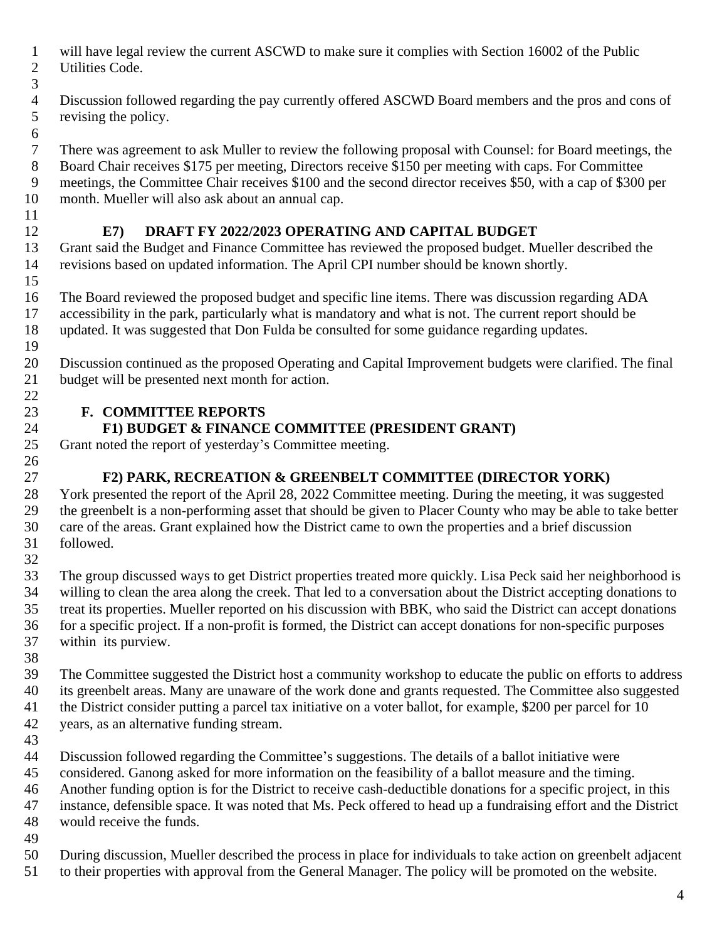- will have legal review the current ASCWD to make sure it complies with Section 16002 of the Public Utilities Code.
- 
- Discussion followed regarding the pay currently offered ASCWD Board members and the pros and cons of revising the policy.
- There was agreement to ask Muller to review the following proposal with Counsel: for Board meetings, the Board Chair receives \$175 per meeting, Directors receive \$150 per meeting with caps. For Committee meetings, the Committee Chair receives \$100 and the second director receives \$50, with a cap of \$300 per month. Mueller will also ask about an annual cap.

# **E7) DRAFT FY 2022/2023 OPERATING AND CAPITAL BUDGET**

 Grant said the Budget and Finance Committee has reviewed the proposed budget. Mueller described the revisions based on updated information. The April CPI number should be known shortly. 

 The Board reviewed the proposed budget and specific line items. There was discussion regarding ADA accessibility in the park, particularly what is mandatory and what is not. The current report should be updated. It was suggested that Don Fulda be consulted for some guidance regarding updates. 

 Discussion continued as the proposed Operating and Capital Improvement budgets were clarified. The final budget will be presented next month for action. 

# **F. COMMITTEE REPORTS**

# **F1) BUDGET & FINANCE COMMITTEE (PRESIDENT GRANT)**

 Grant noted the report of yesterday's Committee meeting. 

# **F2) PARK, RECREATION & GREENBELT COMMITTEE (DIRECTOR YORK)**

 York presented the report of the April 28, 2022 Committee meeting. During the meeting, it was suggested the greenbelt is a non-performing asset that should be given to Placer County who may be able to take better care of the areas. Grant explained how the District came to own the properties and a brief discussion followed. 

 The group discussed ways to get District properties treated more quickly. Lisa Peck said her neighborhood is willing to clean the area along the creek. That led to a conversation about the District accepting donations to treat its properties. Mueller reported on his discussion with BBK, who said the District can accept donations for a specific project. If a non-profit is formed, the District can accept donations for non-specific purposes within its purview.

- The Committee suggested the District host a community workshop to educate the public on efforts to address its greenbelt areas. Many are unaware of the work done and grants requested. The Committee also suggested the District consider putting a parcel tax initiative on a voter ballot, for example, \$200 per parcel for 10 years, as an alternative funding stream.
- 

Discussion followed regarding the Committee's suggestions. The details of a ballot initiative were

considered. Ganong asked for more information on the feasibility of a ballot measure and the timing.

 Another funding option is for the District to receive cash-deductible donations for a specific project, in this instance, defensible space. It was noted that Ms. Peck offered to head up a fundraising effort and the District

- would receive the funds.
- 

During discussion, Mueller described the process in place for individuals to take action on greenbelt adjacent

to their properties with approval from the General Manager. The policy will be promoted on the website.